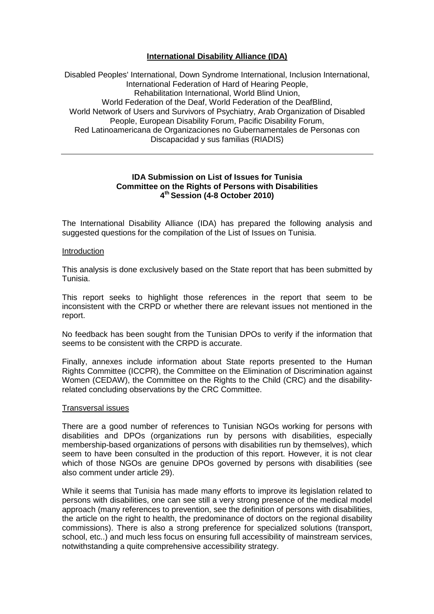# **International Disability Alliance (IDA)**

Disabled Peoples' International, Down Syndrome International, Inclusion International, International Federation of Hard of Hearing People, Rehabilitation International, World Blind Union, World Federation of the Deaf, World Federation of the DeafBlind, World Network of Users and Survivors of Psychiatry, Arab Organization of Disabled People, European Disability Forum, Pacific Disability Forum, Red Latinoamericana de Organizaciones no Gubernamentales de Personas con Discapacidad y sus familias (RIADIS)

### **IDA Submission on List of Issues for Tunisia Committee on the Rights of Persons with Disabilities 4 th Session (4-8 October 2010)**

The International Disability Alliance (IDA) has prepared the following analysis and suggested questions for the compilation of the List of Issues on Tunisia.

#### Introduction

This analysis is done exclusively based on the State report that has been submitted by Tunisia.

This report seeks to highlight those references in the report that seem to be inconsistent with the CRPD or whether there are relevant issues not mentioned in the report.

No feedback has been sought from the Tunisian DPOs to verify if the information that seems to be consistent with the CRPD is accurate.

Finally, annexes include information about State reports presented to the Human Rights Committee (ICCPR), the Committee on the Elimination of Discrimination against Women (CEDAW), the Committee on the Rights to the Child (CRC) and the disabilityrelated concluding observations by the CRC Committee.

#### Transversal issues

There are a good number of references to Tunisian NGOs working for persons with disabilities and DPOs (organizations run by persons with disabilities, especially membership-based organizations of persons with disabilities run by themselves), which seem to have been consulted in the production of this report. However, it is not clear which of those NGOs are genuine DPOs governed by persons with disabilities (see also comment under article 29).

While it seems that Tunisia has made many efforts to improve its legislation related to persons with disabilities, one can see still a very strong presence of the medical model approach (many references to prevention, see the definition of persons with disabilities, the article on the right to health, the predominance of doctors on the regional disability commissions). There is also a strong preference for specialized solutions (transport, school, etc..) and much less focus on ensuring full accessibility of mainstream services, notwithstanding a quite comprehensive accessibility strategy.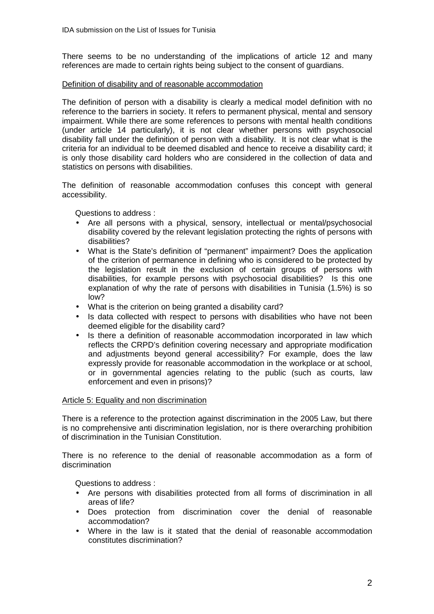There seems to be no understanding of the implications of article 12 and many references are made to certain rights being subject to the consent of guardians.

### Definition of disability and of reasonable accommodation

The definition of person with a disability is clearly a medical model definition with no reference to the barriers in society. It refers to permanent physical, mental and sensory impairment. While there are some references to persons with mental health conditions (under article 14 particularly), it is not clear whether persons with psychosocial disability fall under the definition of person with a disability. It is not clear what is the criteria for an individual to be deemed disabled and hence to receive a disability card; it is only those disability card holders who are considered in the collection of data and statistics on persons with disabilities.

The definition of reasonable accommodation confuses this concept with general accessibility.

Questions to address :

- Are all persons with a physical, sensory, intellectual or mental/psychosocial disability covered by the relevant legislation protecting the rights of persons with disabilities?
- What is the State's definition of "permanent" impairment? Does the application of the criterion of permanence in defining who is considered to be protected by the legislation result in the exclusion of certain groups of persons with disabilities, for example persons with psychosocial disabilities? Is this one explanation of why the rate of persons with disabilities in Tunisia (1.5%) is so low?
- What is the criterion on being granted a disability card?
- Is data collected with respect to persons with disabilities who have not been deemed eligible for the disability card?
- Is there a definition of reasonable accommodation incorporated in law which reflects the CRPD's definition covering necessary and appropriate modification and adjustments beyond general accessibility? For example, does the law expressly provide for reasonable accommodation in the workplace or at school, or in governmental agencies relating to the public (such as courts, law enforcement and even in prisons)?

## Article 5: Equality and non discrimination

There is a reference to the protection against discrimination in the 2005 Law, but there is no comprehensive anti discrimination legislation, nor is there overarching prohibition of discrimination in the Tunisian Constitution.

There is no reference to the denial of reasonable accommodation as a form of discrimination

- Are persons with disabilities protected from all forms of discrimination in all areas of life?
- Does protection from discrimination cover the denial of reasonable accommodation?
- Where in the law is it stated that the denial of reasonable accommodation constitutes discrimination?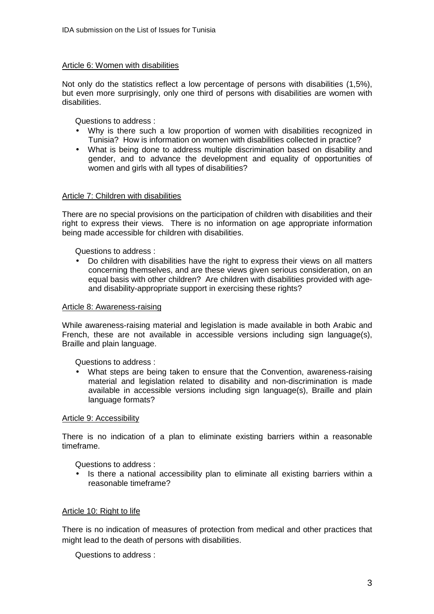#### Article 6: Women with disabilities

Not only do the statistics reflect a low percentage of persons with disabilities (1,5%), but even more surprisingly, only one third of persons with disabilities are women with disabilities.

Questions to address :

- Why is there such a low proportion of women with disabilities recognized in Tunisia? How is information on women with disabilities collected in practice?
- What is being done to address multiple discrimination based on disability and gender, and to advance the development and equality of opportunities of women and girls with all types of disabilities?

### Article 7: Children with disabilities

There are no special provisions on the participation of children with disabilities and their right to express their views. There is no information on age appropriate information being made accessible for children with disabilities.

Questions to address :

• Do children with disabilities have the right to express their views on all matters concerning themselves, and are these views given serious consideration, on an equal basis with other children? Are children with disabilities provided with ageand disability-appropriate support in exercising these rights?

#### Article 8: Awareness-raising

While awareness-raising material and legislation is made available in both Arabic and French, these are not available in accessible versions including sign language(s), Braille and plain language.

Questions to address :

• What steps are being taken to ensure that the Convention, awareness-raising material and legislation related to disability and non-discrimination is made available in accessible versions including sign language(s), Braille and plain language formats?

#### Article 9: Accessibility

There is no indication of a plan to eliminate existing barriers within a reasonable timeframe.

Questions to address :

• Is there a national accessibility plan to eliminate all existing barriers within a reasonable timeframe?

#### Article 10: Right to life

There is no indication of measures of protection from medical and other practices that might lead to the death of persons with disabilities.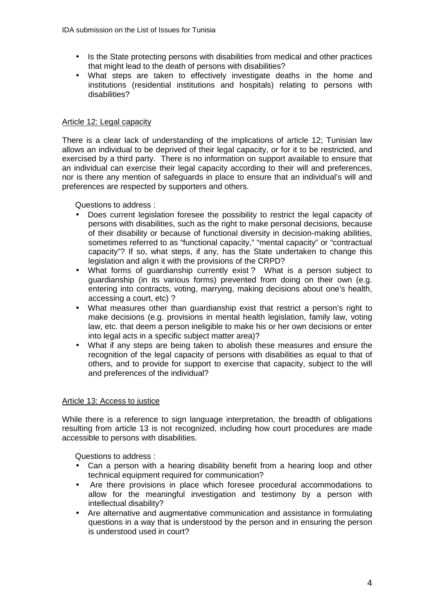- Is the State protecting persons with disabilities from medical and other practices that might lead to the death of persons with disabilities?
- What steps are taken to effectively investigate deaths in the home and institutions (residential institutions and hospitals) relating to persons with disabilities?

# Article 12: Legal capacity

There is a clear lack of understanding of the implications of article 12; Tunisian law allows an individual to be deprived of their legal capacity, or for it to be restricted, and exercised by a third party. There is no information on support available to ensure that an individual can exercise their legal capacity according to their will and preferences, nor is there any mention of safeguards in place to ensure that an individual's will and preferences are respected by supporters and others.

Questions to address :

- Does current legislation foresee the possibility to restrict the legal capacity of persons with disabilities, such as the right to make personal decisions, because of their disability or because of functional diversity in decision-making abilities, sometimes referred to as "functional capacity," "mental capacity" or "contractual capacity"? If so, what steps, if any, has the State undertaken to change this legislation and align it with the provisions of the CRPD?
- What forms of guardianship currently exist? What is a person subject to guardianship (in its various forms) prevented from doing on their own (e.g. entering into contracts, voting, marrying, making decisions about one's health, accessing a court, etc) ?
- What measures other than guardianship exist that restrict a person's right to make decisions (e.g. provisions in mental health legislation, family law, voting law, etc. that deem a person ineligible to make his or her own decisions or enter into legal acts in a specific subject matter area)?
- What if any steps are being taken to abolish these measures and ensure the recognition of the legal capacity of persons with disabilities as equal to that of others, and to provide for support to exercise that capacity, subject to the will and preferences of the individual?

## Article 13: Access to justice

While there is a reference to sign language interpretation, the breadth of obligations resulting from article 13 is not recognized, including how court procedures are made accessible to persons with disabilities.

- Can a person with a hearing disability benefit from a hearing loop and other technical equipment required for communication?
- Are there provisions in place which foresee procedural accommodations to allow for the meaningful investigation and testimony by a person with intellectual disability?
- Are alternative and augmentative communication and assistance in formulating questions in a way that is understood by the person and in ensuring the person is understood used in court?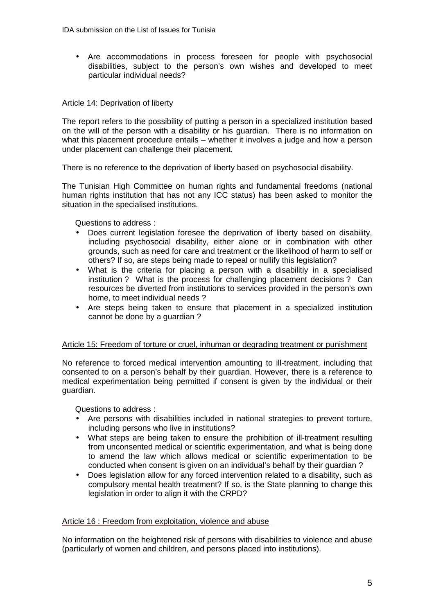• Are accommodations in process foreseen for people with psychosocial disabilities, subject to the person's own wishes and developed to meet particular individual needs?

### Article 14: Deprivation of liberty

The report refers to the possibility of putting a person in a specialized institution based on the will of the person with a disability or his guardian. There is no information on what this placement procedure entails – whether it involves a judge and how a person under placement can challenge their placement.

There is no reference to the deprivation of liberty based on psychosocial disability.

The Tunisian High Committee on human rights and fundamental freedoms (national human rights institution that has not any ICC status) has been asked to monitor the situation in the specialised institutions.

Questions to address :

- Does current legislation foresee the deprivation of liberty based on disability, including psychosocial disability, either alone or in combination with other grounds, such as need for care and treatment or the likelihood of harm to self or others? If so, are steps being made to repeal or nullify this legislation?
- What is the criteria for placing a person with a disabilitiy in a specialised institution ? What is the process for challenging placement decisions ? Can resources be diverted from institutions to services provided in the person's own home, to meet individual needs ?
- Are steps being taken to ensure that placement in a specialized institution cannot be done by a guardian ?

#### Article 15: Freedom of torture or cruel, inhuman or degrading treatment or punishment

No reference to forced medical intervention amounting to ill-treatment, including that consented to on a person's behalf by their guardian. However, there is a reference to medical experimentation being permitted if consent is given by the individual or their guardian.

Questions to address :

- Are persons with disabilities included in national strategies to prevent torture, including persons who live in institutions?
- What steps are being taken to ensure the prohibition of ill-treatment resulting from unconsented medical or scientific experimentation, and what is being done to amend the law which allows medical or scientific experimentation to be conducted when consent is given on an individual's behalf by their guardian ?
- Does legislation allow for any forced intervention related to a disability, such as compulsory mental health treatment? If so, is the State planning to change this legislation in order to align it with the CRPD?

## Article 16 : Freedom from exploitation, violence and abuse

No information on the heightened risk of persons with disabilities to violence and abuse (particularly of women and children, and persons placed into institutions).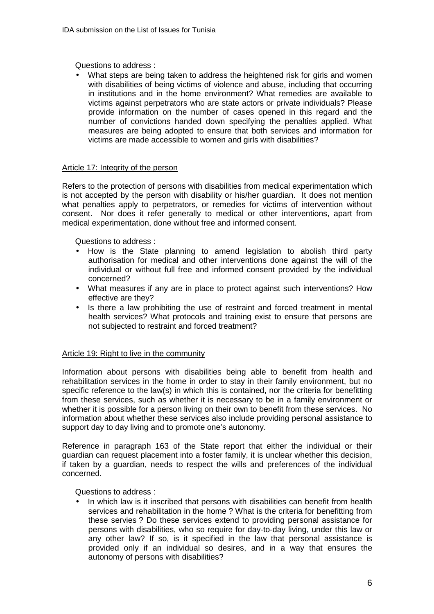Questions to address :

• What steps are being taken to address the heightened risk for girls and women with disabilities of being victims of violence and abuse, including that occurring in institutions and in the home environment? What remedies are available to victims against perpetrators who are state actors or private individuals? Please provide information on the number of cases opened in this regard and the number of convictions handed down specifying the penalties applied. What measures are being adopted to ensure that both services and information for victims are made accessible to women and girls with disabilities?

# Article 17: Integrity of the person

Refers to the protection of persons with disabilities from medical experimentation which is not accepted by the person with disability or his/her guardian. It does not mention what penalties apply to perpetrators, or remedies for victims of intervention without consent. Nor does it refer generally to medical or other interventions, apart from medical experimentation, done without free and informed consent.

Questions to address :

- How is the State planning to amend legislation to abolish third party authorisation for medical and other interventions done against the will of the individual or without full free and informed consent provided by the individual concerned?
- What measures if any are in place to protect against such interventions? How effective are they?
- Is there a law prohibiting the use of restraint and forced treatment in mental health services? What protocols and training exist to ensure that persons are not subjected to restraint and forced treatment?

## Article 19: Right to live in the community

Information about persons with disabilities being able to benefit from health and rehabilitation services in the home in order to stay in their family environment, but no specific reference to the law(s) in which this is contained, nor the criteria for benefitting from these services, such as whether it is necessary to be in a family environment or whether it is possible for a person living on their own to benefit from these services. No information about whether these services also include providing personal assistance to support day to day living and to promote one's autonomy.

Reference in paragraph 163 of the State report that either the individual or their guardian can request placement into a foster family, it is unclear whether this decision, if taken by a guardian, needs to respect the wills and preferences of the individual concerned.

Questions to address :

In which law is it inscribed that persons with disabilities can benefit from health services and rehabilitation in the home ? What is the criteria for benefitting from these servies ? Do these services extend to providing personal assistance for persons with disabilities, who so require for day-to-day living, under this law or any other law? If so, is it specified in the law that personal assistance is provided only if an individual so desires, and in a way that ensures the autonomy of persons with disabilities?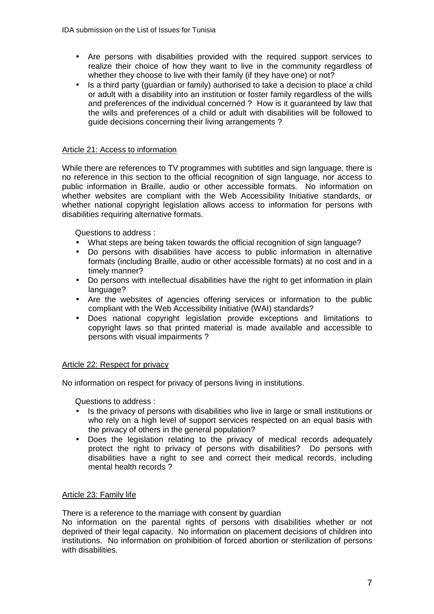- Are persons with disabilities provided with the required support services to realize their choice of how they want to live in the community regardless of whether they choose to live with their family (if they have one) or not?
- Is a third party (guardian or family) authorised to take a decision to place a child or adult with a disability into an institution or foster family regardless of the wills and preferences of the individual concerned ? How is it guaranteed by law that the wills and preferences of a child or adult with disabilities will be followed to guide decisions concerning their living arrangements ?

# Article 21: Access to information

While there are references to TV programmes with subtitles and sign language, there is no reference in this section to the official recognition of sign language, nor access to public information in Braille, audio or other accessible formats. No information on whether websites are compliant with the Web Accessibility Initiative standards, or whether national copyright legislation allows access to information for persons with disabilities requiring alternative formats.

Questions to address :

- What steps are being taken towards the official recognition of sign language?
- Do persons with disabilities have access to public information in alternative formats (including Braille, audio or other accessible formats) at no cost and in a timely manner?
- Do persons with intellectual disabilities have the right to get information in plain language?
- Are the websites of agencies offering services or information to the public compliant with the Web Accessibility Initiative (WAI) standards?
- Does national copyright legislation provide exceptions and limitations to copyright laws so that printed material is made available and accessible to persons with visual impairments ?

## Article 22: Respect for privacy

No information on respect for privacy of persons living in institutions.

Questions to address :

- Is the privacy of persons with disabilities who live in large or small institutions or who rely on a high level of support services respected on an equal basis with the privacy of others in the general population?
- Does the legislation relating to the privacy of medical records adequately protect the right to privacy of persons with disabilities? Do persons with disabilities have a right to see and correct their medical records, including mental health records ?

#### Article 23: Family life

There is a reference to the marriage with consent by guardian

No information on the parental rights of persons with disabilities whether or not deprived of their legal capacity. No information on placement decisions of children into institutions. No information on prohibition of forced abortion or sterilization of persons with disabilities.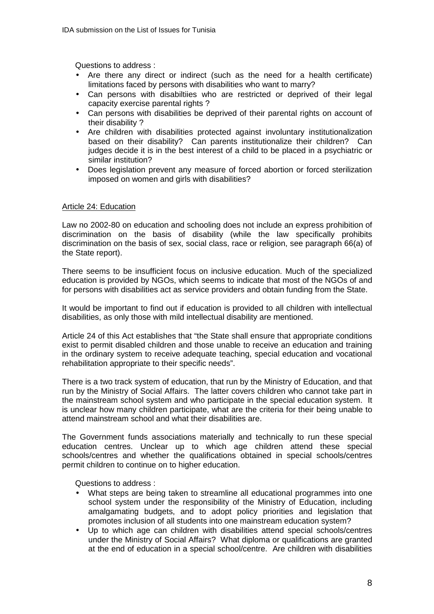Questions to address :

- Are there any direct or indirect (such as the need for a health certificate) limitations faced by persons with disabilities who want to marry?
- Can persons with disabiltiies who are restricted or deprived of their legal capacity exercise parental rights ?
- Can persons with disabilities be deprived of their parental rights on account of their disability ?
- Are children with disabilities protected against involuntary institutionalization based on their disability? Can parents institutionalize their children? Can judges decide it is in the best interest of a child to be placed in a psychiatric or similar institution?
- Does legislation prevent any measure of forced abortion or forced sterilization imposed on women and girls with disabilities?

## Article 24: Education

Law no 2002-80 on education and schooling does not include an express prohibition of discrimination on the basis of disability (while the law specifically prohibits discrimination on the basis of sex, social class, race or religion, see paragraph 66(a) of the State report).

There seems to be insufficient focus on inclusive education. Much of the specialized education is provided by NGOs, which seems to indicate that most of the NGOs of and for persons with disabilities act as service providers and obtain funding from the State.

It would be important to find out if education is provided to all children with intellectual disabilities, as only those with mild intellectual disability are mentioned.

Article 24 of this Act establishes that "the State shall ensure that appropriate conditions exist to permit disabled children and those unable to receive an education and training in the ordinary system to receive adequate teaching, special education and vocational rehabilitation appropriate to their specific needs".

There is a two track system of education, that run by the Ministry of Education, and that run by the Ministry of Social Affairs. The latter covers children who cannot take part in the mainstream school system and who participate in the special education system. It is unclear how many children participate, what are the criteria for their being unable to attend mainstream school and what their disabilities are.

The Government funds associations materially and technically to run these special education centres. Unclear up to which age children attend these special schools/centres and whether the qualifications obtained in special schools/centres permit children to continue on to higher education.

- What steps are being taken to streamline all educational programmes into one school system under the responsibility of the Ministry of Education, including amalgamating budgets, and to adopt policy priorities and legislation that promotes inclusion of all students into one mainstream education system?
- Up to which age can children with disabilities attend special schools/centres under the Ministry of Social Affairs? What diploma or qualifications are granted at the end of education in a special school/centre. Are children with disabilities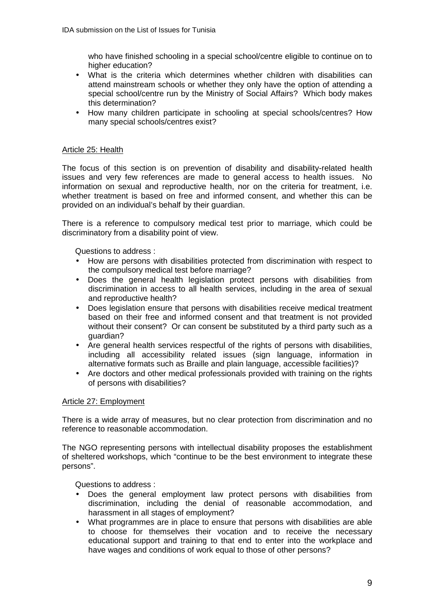who have finished schooling in a special school/centre eligible to continue on to higher education?

- What is the criteria which determines whether children with disabilities can attend mainstream schools or whether they only have the option of attending a special school/centre run by the Ministry of Social Affairs? Which body makes this determination?
- How many children participate in schooling at special schools/centres? How many special schools/centres exist?

## Article 25: Health

The focus of this section is on prevention of disability and disability-related health issues and very few references are made to general access to health issues. No information on sexual and reproductive health, nor on the criteria for treatment, i.e. whether treatment is based on free and informed consent, and whether this can be provided on an individual's behalf by their guardian.

There is a reference to compulsory medical test prior to marriage, which could be discriminatory from a disability point of view.

Questions to address :

- How are persons with disabilities protected from discrimination with respect to the compulsory medical test before marriage?
- Does the general health legislation protect persons with disabilities from discrimination in access to all health services, including in the area of sexual and reproductive health?
- Does legislation ensure that persons with disabilities receive medical treatment based on their free and informed consent and that treatment is not provided without their consent? Or can consent be substituted by a third party such as a guardian?
- Are general health services respectful of the rights of persons with disabilities, including all accessibility related issues (sign language, information in alternative formats such as Braille and plain language, accessible facilities)?
- Are doctors and other medical professionals provided with training on the rights of persons with disabilities?

## Article 27: Employment

There is a wide array of measures, but no clear protection from discrimination and no reference to reasonable accommodation.

The NGO representing persons with intellectual disability proposes the establishment of sheltered workshops, which "continue to be the best environment to integrate these persons".

- Does the general employment law protect persons with disabilities from discrimination, including the denial of reasonable accommodation, and harassment in all stages of employment?
- What programmes are in place to ensure that persons with disabilities are able to choose for themselves their vocation and to receive the necessary educational support and training to that end to enter into the workplace and have wages and conditions of work equal to those of other persons?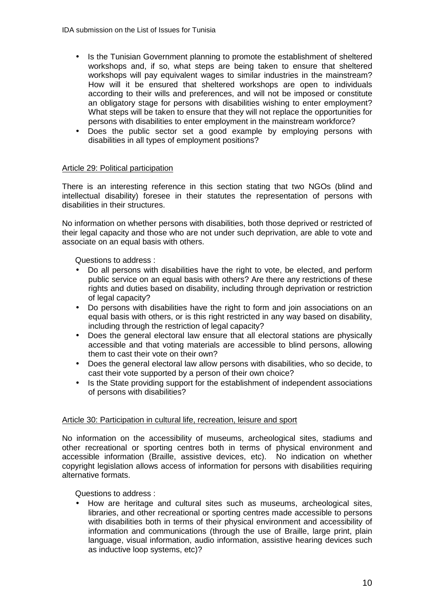- Is the Tunisian Government planning to promote the establishment of sheltered workshops and, if so, what steps are being taken to ensure that sheltered workshops will pay equivalent wages to similar industries in the mainstream? How will it be ensured that sheltered workshops are open to individuals according to their wills and preferences, and will not be imposed or constitute an obligatory stage for persons with disabilities wishing to enter employment? What steps will be taken to ensure that they will not replace the opportunities for persons with disabilities to enter employment in the mainstream workforce?
- Does the public sector set a good example by employing persons with disabilities in all types of employment positions?

### Article 29: Political participation

There is an interesting reference in this section stating that two NGOs (blind and intellectual disability) foresee in their statutes the representation of persons with disabilities in their structures.

No information on whether persons with disabilities, both those deprived or restricted of their legal capacity and those who are not under such deprivation, are able to vote and associate on an equal basis with others.

Questions to address :

- Do all persons with disabilities have the right to vote, be elected, and perform public service on an equal basis with others? Are there any restrictions of these rights and duties based on disability, including through deprivation or restriction of legal capacity?
- Do persons with disabilities have the right to form and join associations on an equal basis with others, or is this right restricted in any way based on disability, including through the restriction of legal capacity?
- Does the general electoral law ensure that all electoral stations are physically accessible and that voting materials are accessible to blind persons, allowing them to cast their vote on their own?
- Does the general electoral law allow persons with disabilities, who so decide, to cast their vote supported by a person of their own choice?
- Is the State providing support for the establishment of independent associations of persons with disabilities?

## Article 30: Participation in cultural life, recreation, leisure and sport

No information on the accessibility of museums, archeological sites, stadiums and other recreational or sporting centres both in terms of physical environment and accessible information (Braille, assistive devices, etc). No indication on whether copyright legislation allows access of information for persons with disabilities requiring alternative formats.

Questions to address :

• How are heritage and cultural sites such as museums, archeological sites, libraries, and other recreational or sporting centres made accessible to persons with disabilities both in terms of their physical environment and accessibility of information and communications (through the use of Braille, large print, plain language, visual information, audio information, assistive hearing devices such as inductive loop systems, etc)?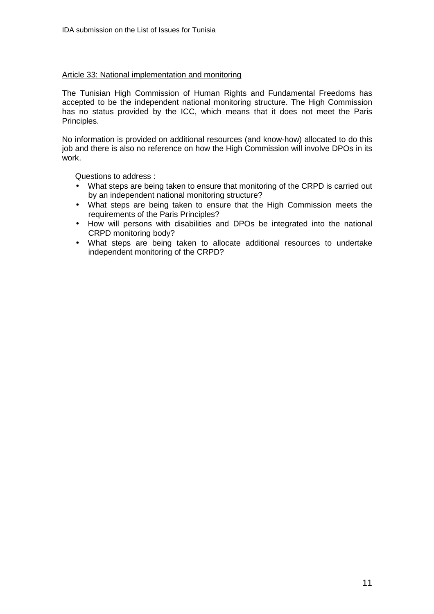### Article 33: National implementation and monitoring

The Tunisian High Commission of Human Rights and Fundamental Freedoms has accepted to be the independent national monitoring structure. The High Commission has no status provided by the ICC, which means that it does not meet the Paris Principles.

No information is provided on additional resources (and know-how) allocated to do this job and there is also no reference on how the High Commission will involve DPOs in its work.

- What steps are being taken to ensure that monitoring of the CRPD is carried out by an independent national monitoring structure?
- What steps are being taken to ensure that the High Commission meets the requirements of the Paris Principles?
- How will persons with disabilities and DPOs be integrated into the national CRPD monitoring body?
- What steps are being taken to allocate additional resources to undertake independent monitoring of the CRPD?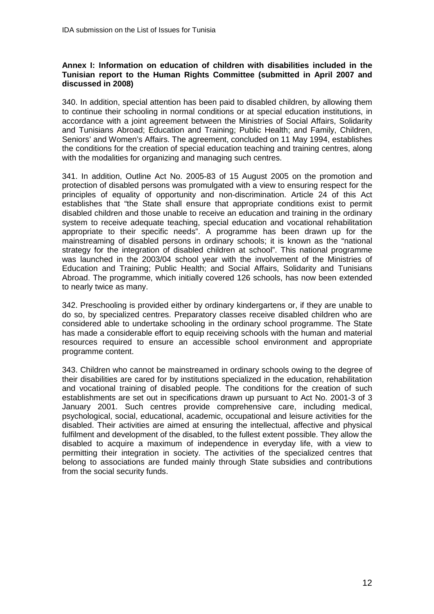### **Annex I: Information on education of children with disabilities included in the Tunisian report to the Human Rights Committee (submitted in April 2007 and discussed in 2008)**

340. In addition, special attention has been paid to disabled children, by allowing them to continue their schooling in normal conditions or at special education institutions, in accordance with a joint agreement between the Ministries of Social Affairs, Solidarity and Tunisians Abroad; Education and Training; Public Health; and Family, Children, Seniors' and Women's Affairs. The agreement, concluded on 11 May 1994, establishes the conditions for the creation of special education teaching and training centres, along with the modalities for organizing and managing such centres.

341. In addition, Outline Act No. 2005-83 of 15 August 2005 on the promotion and protection of disabled persons was promulgated with a view to ensuring respect for the principles of equality of opportunity and non-discrimination. Article 24 of this Act establishes that "the State shall ensure that appropriate conditions exist to permit disabled children and those unable to receive an education and training in the ordinary system to receive adequate teaching, special education and vocational rehabilitation appropriate to their specific needs". A programme has been drawn up for the mainstreaming of disabled persons in ordinary schools; it is known as the "national strategy for the integration of disabled children at school". This national programme was launched in the 2003/04 school year with the involvement of the Ministries of Education and Training; Public Health; and Social Affairs, Solidarity and Tunisians Abroad. The programme, which initially covered 126 schools, has now been extended to nearly twice as many.

342. Preschooling is provided either by ordinary kindergartens or, if they are unable to do so, by specialized centres. Preparatory classes receive disabled children who are considered able to undertake schooling in the ordinary school programme. The State has made a considerable effort to equip receiving schools with the human and material resources required to ensure an accessible school environment and appropriate programme content.

343. Children who cannot be mainstreamed in ordinary schools owing to the degree of their disabilities are cared for by institutions specialized in the education, rehabilitation and vocational training of disabled people. The conditions for the creation of such establishments are set out in specifications drawn up pursuant to Act No. 2001-3 of 3 January 2001. Such centres provide comprehensive care, including medical, psychological, social, educational, academic, occupational and leisure activities for the disabled. Their activities are aimed at ensuring the intellectual, affective and physical fulfilment and development of the disabled, to the fullest extent possible. They allow the disabled to acquire a maximum of independence in everyday life, with a view to permitting their integration in society. The activities of the specialized centres that belong to associations are funded mainly through State subsidies and contributions from the social security funds.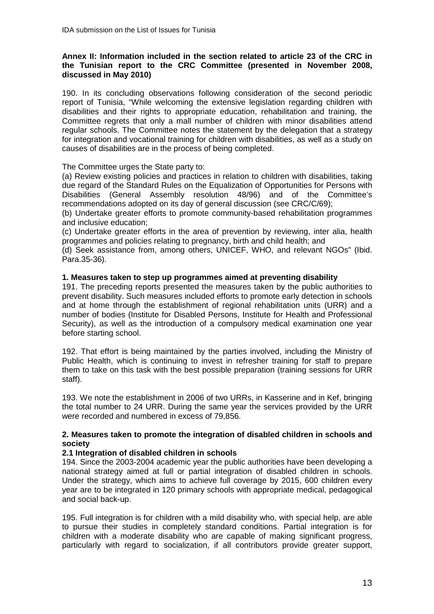## **Annex II: Information included in the section related to article 23 of the CRC in the Tunisian report to the CRC Committee (presented in November 2008, discussed in May 2010)**

190. In its concluding observations following consideration of the second periodic report of Tunisia, "While welcoming the extensive legislation regarding children with disabilities and their rights to appropriate education, rehabilitation and training, the Committee regrets that only a mall number of children with minor disabilities attend regular schools. The Committee notes the statement by the delegation that a strategy for integration and vocational training for children with disabilities, as well as a study on causes of disabilities are in the process of being completed.

## The Committee urges the State party to:

(a) Review existing policies and practices in relation to children with disabilities, taking due regard of the Standard Rules on the Equalization of Opportunities for Persons with Disabilities (General Assembly resolution 48/96) and of the Committee's recommendations adopted on its day of general discussion (see CRC/C/69);

(b) Undertake greater efforts to promote community-based rehabilitation programmes and inclusive education;

(c) Undertake greater efforts in the area of prevention by reviewing, inter alia, health programmes and policies relating to pregnancy, birth and child health; and

(d) Seek assistance from, among others, UNICEF, WHO, and relevant NGOs" (Ibid. Para.35-36).

### **1. Measures taken to step up programmes aimed at preventing disability**

191. The preceding reports presented the measures taken by the public authorities to prevent disability. Such measures included efforts to promote early detection in schools and at home through the establishment of regional rehabilitation units (URR) and a number of bodies (Institute for Disabled Persons, Institute for Health and Professional Security), as well as the introduction of a compulsory medical examination one year before starting school.

192. That effort is being maintained by the parties involved, including the Ministry of Public Health, which is continuing to invest in refresher training for staff to prepare them to take on this task with the best possible preparation (training sessions for URR staff).

193. We note the establishment in 2006 of two URRs, in Kasserine and in Kef, bringing the total number to 24 URR. During the same year the services provided by the URR were recorded and numbered in excess of 79,856.

## **2. Measures taken to promote the integration of disabled children in schools and society**

## **2.1 Integration of disabled children in schools**

194. Since the 2003-2004 academic year the public authorities have been developing a national strategy aimed at full or partial integration of disabled children in schools. Under the strategy, which aims to achieve full coverage by 2015, 600 children every year are to be integrated in 120 primary schools with appropriate medical, pedagogical and social back-up.

195. Full integration is for children with a mild disability who, with special help, are able to pursue their studies in completely standard conditions. Partial integration is for children with a moderate disability who are capable of making significant progress, particularly with regard to socialization, if all contributors provide greater support,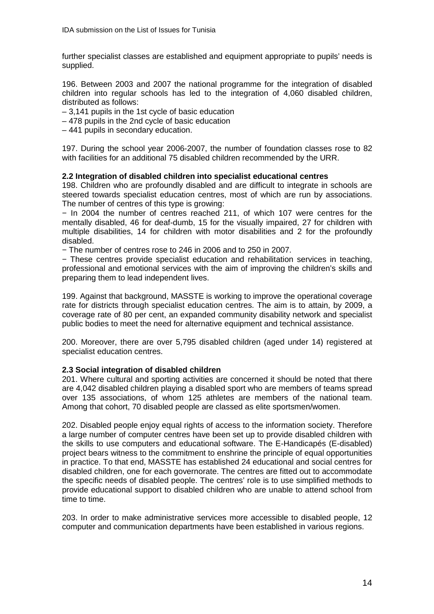further specialist classes are established and equipment appropriate to pupils' needs is supplied.

196. Between 2003 and 2007 the national programme for the integration of disabled children into regular schools has led to the integration of 4,060 disabled children, distributed as follows:

– 3,141 pupils in the 1st cycle of basic education

– 478 pupils in the 2nd cycle of basic education

– 441 pupils in secondary education.

197. During the school year 2006-2007, the number of foundation classes rose to 82 with facilities for an additional 75 disabled children recommended by the URR.

### **2.2 Integration of disabled children into specialist educational centres**

198. Children who are profoundly disabled and are difficult to integrate in schools are steered towards specialist education centres, most of which are run by associations. The number of centres of this type is growing:

− In 2004 the number of centres reached 211, of which 107 were centres for the mentally disabled, 46 for deaf-dumb, 15 for the visually impaired, 27 for children with multiple disabilities, 14 for children with motor disabilities and 2 for the profoundly disabled.

− The number of centres rose to 246 in 2006 and to 250 in 2007.

− These centres provide specialist education and rehabilitation services in teaching, professional and emotional services with the aim of improving the children's skills and preparing them to lead independent lives.

199. Against that background, MASSTE is working to improve the operational coverage rate for districts through specialist education centres. The aim is to attain, by 2009, a coverage rate of 80 per cent, an expanded community disability network and specialist public bodies to meet the need for alternative equipment and technical assistance.

200. Moreover, there are over 5,795 disabled children (aged under 14) registered at specialist education centres.

## **2.3 Social integration of disabled children**

201. Where cultural and sporting activities are concerned it should be noted that there are 4,042 disabled children playing a disabled sport who are members of teams spread over 135 associations, of whom 125 athletes are members of the national team. Among that cohort, 70 disabled people are classed as elite sportsmen/women.

202. Disabled people enjoy equal rights of access to the information society. Therefore a large number of computer centres have been set up to provide disabled children with the skills to use computers and educational software. The E-Handicapés (E-disabled) project bears witness to the commitment to enshrine the principle of equal opportunities in practice. To that end, MASSTE has established 24 educational and social centres for disabled children, one for each governorate. The centres are fitted out to accommodate the specific needs of disabled people. The centres' role is to use simplified methods to provide educational support to disabled children who are unable to attend school from time to time.

203. In order to make administrative services more accessible to disabled people, 12 computer and communication departments have been established in various regions.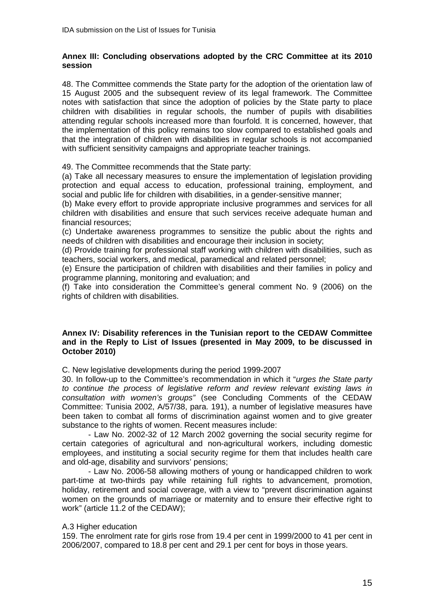### **Annex III: Concluding observations adopted by the CRC Committee at its 2010 session**

48. The Committee commends the State party for the adoption of the orientation law of 15 August 2005 and the subsequent review of its legal framework. The Committee notes with satisfaction that since the adoption of policies by the State party to place children with disabilities in regular schools, the number of pupils with disabilities attending regular schools increased more than fourfold. It is concerned, however, that the implementation of this policy remains too slow compared to established goals and that the integration of children with disabilities in regular schools is not accompanied with sufficient sensitivity campaigns and appropriate teacher trainings.

49. The Committee recommends that the State party:

(a) Take all necessary measures to ensure the implementation of legislation providing protection and equal access to education, professional training, employment, and social and public life for children with disabilities, in a gender-sensitive manner;

(b) Make every effort to provide appropriate inclusive programmes and services for all children with disabilities and ensure that such services receive adequate human and financial resources;

(c) Undertake awareness programmes to sensitize the public about the rights and needs of children with disabilities and encourage their inclusion in society;

(d) Provide training for professional staff working with children with disabilities, such as teachers, social workers, and medical, paramedical and related personnel;

(e) Ensure the participation of children with disabilities and their families in policy and programme planning, monitoring and evaluation; and

(f) Take into consideration the Committee's general comment No. 9 (2006) on the rights of children with disabilities.

### **Annex IV: Disability references in the Tunisian report to the CEDAW Committee and in the Reply to List of Issues (presented in May 2009, to be discussed in October 2010)**

C. New legislative developments during the period 1999-2007

30. In follow-up to the Committee's recommendation in which it "urges the State party to continue the process of legislative reform and review relevant existing laws in consultation with women's groups" (see Concluding Comments of the CEDAW Committee: Tunisia 2002, A/57/38, para. 191), a number of legislative measures have been taken to combat all forms of discrimination against women and to give greater substance to the rights of women. Recent measures include:

- Law No. 2002-32 of 12 March 2002 governing the social security regime for certain categories of agricultural and non-agricultural workers, including domestic employees, and instituting a social security regime for them that includes health care and old-age, disability and survivors' pensions;

- Law No. 2006-58 allowing mothers of young or handicapped children to work part-time at two-thirds pay while retaining full rights to advancement, promotion, holiday, retirement and social coverage, with a view to "prevent discrimination against women on the grounds of marriage or maternity and to ensure their effective right to work" (article 11.2 of the CEDAW);

#### A.3 Higher education

159. The enrolment rate for girls rose from 19.4 per cent in 1999/2000 to 41 per cent in 2006/2007, compared to 18.8 per cent and 29.1 per cent for boys in those years.